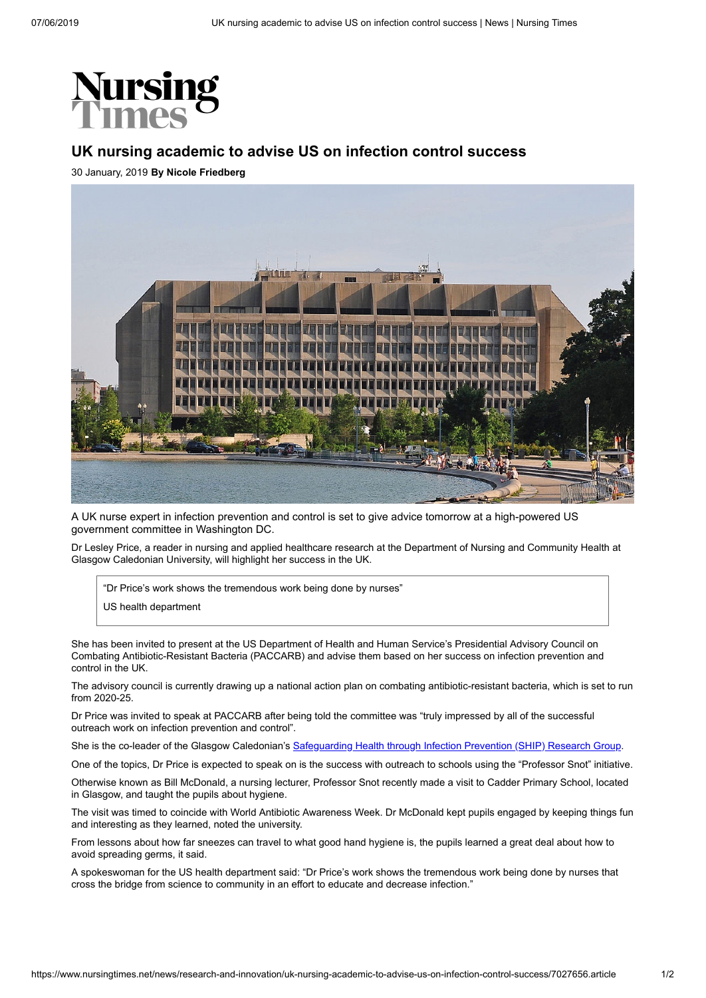

## **UK nursing academic to advise US on infection control success**

30 January, 2019 **By Nicole Friedberg**



A UK nurse expert in infection prevention and control is set to give advice tomorrow at a high-powered US government committee in Washington DC.

Dr Lesley Price, a reader in nursing and applied healthcare research at the Department of Nursing and Community Health at Glasgow Caledonian University, will highlight her success in the UK.

"Dr Price's work shows the tremendous work being done by nurses"

US health department

She has been invited to present at the US Department of Health and Human Service's Presidential Advisory Council on Combating Antibiotic-Resistant Bacteria (PACCARB) and advise them based on her success on infection prevention and control in the UK.

The advisory council is currently drawing up a national action plan on combating antibiotic-resistant bacteria, which is set to run from 2020-25.

Dr Price was invited to speak at PACCARB after being told the committee was "truly impressed by all of the successful outreach work on infection prevention and control".

She is the co-leader of the Glasgow Caledonian's [Safeguarding Health through Infection Prevention \(SHIP\) Research Group.](https://www.gcu.ac.uk/hls/research/researchgroups/infectionprevention/)

One of the topics, Dr Price is expected to speak on is the success with outreach to schools using the "Professor Snot" initiative.

Otherwise known as Bill McDonald, a nursing lecturer, Professor Snot recently made a visit to Cadder Primary School, located in Glasgow, and taught the pupils about hygiene.

The visit was timed to coincide with World Antibiotic Awareness Week. Dr McDonald kept pupils engaged by keeping things fun and interesting as they learned, noted the university.

From lessons about how far sneezes can travel to what good hand hygiene is, the pupils learned a great deal about how to avoid spreading germs, it said.

A spokeswoman for the US health department said: "Dr Price's work shows the tremendous work being done by nurses that cross the bridge from science to community in an effort to educate and decrease infection."